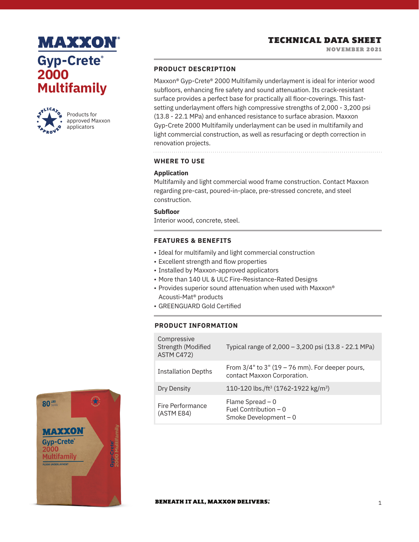## **MAXXON Gyp-Crete® 2000 Multifamily**



Products for approved Maxxon applicators

### **PRODUCT DESCRIPTION**

Maxxon® Gyp-Crete® 2000 Multifamily underlayment is ideal for interior wood subfloors, enhancing fire safety and sound attenuation. Its crack-resistant surface provides a perfect base for practically all floor-coverings. This fastsetting underlayment offers high compressive strengths of 2,000 - 3,200 psi (13.8 - 22.1 MPa) and enhanced resistance to surface abrasion. Maxxon Gyp-Crete 2000 Multifamily underlayment can be used in multifamily and light commercial construction, as well as resurfacing or depth correction in renovation projects.

**WHERE TO USE**

### **Application**

Multifamily and light commercial wood frame construction. Contact Maxxon regarding pre-cast, poured-in-place, pre-stressed concrete, and steel construction.

### **Subfloor**

Interior wood, concrete, steel.

### **FEATURES & BENEFITS**

- Ideal for multifamily and light commercial construction
- Excellent strength and flow properties
- Installed by Maxxon-approved applicators
- More than 140 UL & ULC Fire-Resistance-Rated Designs
- Provides superior sound attenuation when used with Maxxon® Acousti-Mat® products
- GREENGUARD Gold Certified

### **PRODUCT INFORMATION**

| Compressive<br>Strength (Modified<br>ASTM C472) | Typical range of 2,000 - 3,200 psi (13.8 - 22.1 MPa)                                 |
|-------------------------------------------------|--------------------------------------------------------------------------------------|
| <b>Installation Depths</b>                      | From $3/4$ " to $3$ " (19 – 76 mm). For deeper pours,<br>contact Maxxon Corporation. |
| Dry Density                                     | 110-120 lbs./ft <sup>3</sup> (1762-1922 kg/m <sup>3</sup> )                          |
| Fire Performance<br>(ASTM E84)                  | Flame Spread $-0$<br>Fuel Contribution $-0$<br>Smoke Development - 0                 |



#### **BENEATH IT ALL, MAXXON DELIVERS.**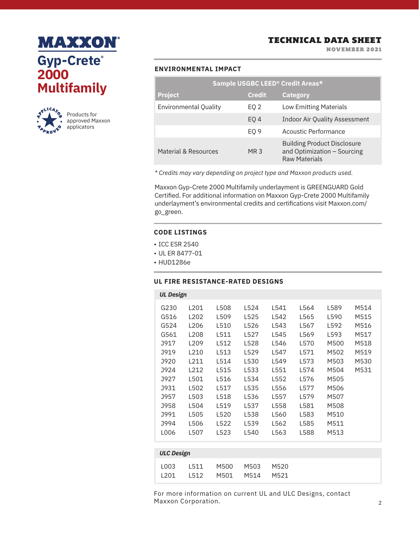# **MAXXON® Gyp-Crete® 2000 Multifamily**



TECHNICAL DATA SHEET

NOVEMBER 2021

### **ENVIRONMENTAL IMPACT**

|                              |                 | Sample USGBC LEED <sup>®</sup> Credit Areas*                                              |
|------------------------------|-----------------|-------------------------------------------------------------------------------------------|
| <b>Project</b>               | <b>Credit</b>   | <b>Category</b>                                                                           |
| <b>Environmental Quality</b> | EQ 2            | <b>Low Emitting Materials</b>                                                             |
|                              | EO <sub>4</sub> | Indoor Air Quality Assessment                                                             |
|                              | EO <sub>9</sub> | Acoustic Performance                                                                      |
| Material & Resources         | MR <sub>3</sub> | <b>Building Product Disclosure</b><br>and Optimization - Sourcing<br><b>Raw Materials</b> |

*\* Credits may vary depending on project type and Maxxon products used.*

Maxxon Gyp-Crete 2000 Multifamily underlayment is GREENGUARD Gold Certified. For additional information on Maxxon Gyp-Crete 2000 Multifamily underlayment's environmental credits and certifications visit Maxxon.com/ go\_green.

### **CODE LISTINGS**

- ICC ESR 2540
- UL ER 8477-01
- HUD1286e

### **UL FIRE RESISTANCE-RATED DESIGNS**

| <b>UL Design</b>  |                  |      |      |      |      |      |      |
|-------------------|------------------|------|------|------|------|------|------|
|                   |                  |      |      |      |      |      |      |
| G230              | L201             | L508 | L524 | L541 | L564 | L589 | M514 |
| G516              | L202             | L509 | L525 | L542 | L565 | L590 | M515 |
| G524              | L206             | L510 | L526 | L543 | L567 | L592 | M516 |
| G561              | L208             | L511 | L527 | L545 | L569 | L593 | M517 |
| J917              | L <sub>209</sub> | L512 | L528 | L546 | L570 | M500 | M518 |
| J919              | L210             | L513 | L529 | L547 | L571 | M502 | M519 |
| J920              | L211             | L514 | L530 | L549 | L573 | M503 | M530 |
| J924              | L212             | L515 | L533 | L551 | L574 | M504 | M531 |
| J927              | L501             | L516 | L534 | L552 | L576 | M505 |      |
| J931              | L502             | L517 | L535 | L556 | L577 | M506 |      |
| J957              | L503             | L518 | L536 | L557 | L579 | M507 |      |
| J958              | L504             | L519 | L537 | L558 | L581 | M508 |      |
| <b>J991</b>       | L505             | L520 | L538 | L560 | L583 | M510 |      |
| J994              | L506             | L522 | L539 | L562 | L585 | M511 |      |
| L006              | L507             | L523 | L540 | L563 | L588 | M513 |      |
|                   |                  |      |      |      |      |      |      |
| <b>ULC Design</b> |                  |      |      |      |      |      |      |

|  | L003 L511 M500 M503 M520 |  |
|--|--------------------------|--|
|  |                          |  |
|  | L201 L512 M501 M514 M521 |  |
|  |                          |  |
|  |                          |  |

For more information on current UL and ULC Designs, contact Maxxon Corporation.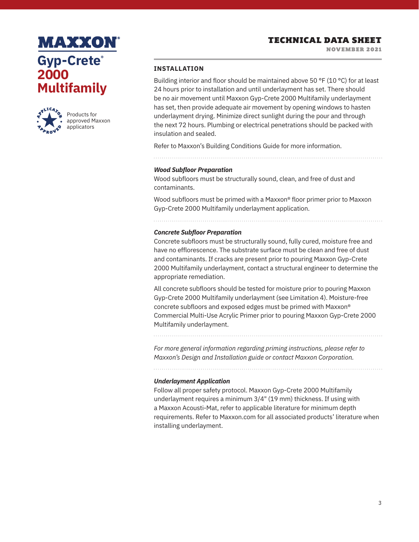NOVEMBER 2021

## **MAXXON Gyp-Crete® 2000 Multifamily**



Products for approved Maxxon applicators

### **INSTALLATION**

Building interior and floor should be maintained above 50 °F (10 °C) for at least 24 hours prior to installation and until underlayment has set. There should be no air movement until Maxxon Gyp-Crete 2000 Multifamily underlayment has set, then provide adequate air movement by opening windows to hasten underlayment drying. Minimize direct sunlight during the pour and through the next 72 hours. Plumbing or electrical penetrations should be packed with insulation and sealed.

Refer to Maxxon's Building Conditions Guide for more information.

#### *Wood Subfloor Preparation*

Wood subfloors must be structurally sound, clean, and free of dust and contaminants.

Wood subfloors must be primed with a Maxxon® floor primer prior to Maxxon Gyp-Crete 2000 Multifamily underlayment application.

### *Concrete Subfloor Preparation*

Concrete subfloors must be structurally sound, fully cured, moisture free and have no efflorescence. The substrate surface must be clean and free of dust and contaminants. If cracks are present prior to pouring Maxxon Gyp-Crete 2000 Multifamily underlayment, contact a structural engineer to determine the appropriate remediation.

All concrete subfloors should be tested for moisture prior to pouring Maxxon Gyp-Crete 2000 Multifamily underlayment (see Limitation 4). Moisture-free concrete subfloors and exposed edges must be primed with Maxxon® Commercial Multi-Use Acrylic Primer prior to pouring Maxxon Gyp-Crete 2000 Multifamily underlayment.

*For more general information regarding priming instructions, please refer to Maxxon's Design and Installation guide or contact Maxxon Corporation.*

#### *Underlayment Application*

Follow all proper safety protocol. Maxxon Gyp-Crete 2000 Multifamily underlayment requires a minimum 3/4" (19 mm) thickness. If using with a Maxxon Acousti-Mat, refer to applicable literature for minimum depth requirements. Refer to Maxxon.com for all associated products' literature when installing underlayment.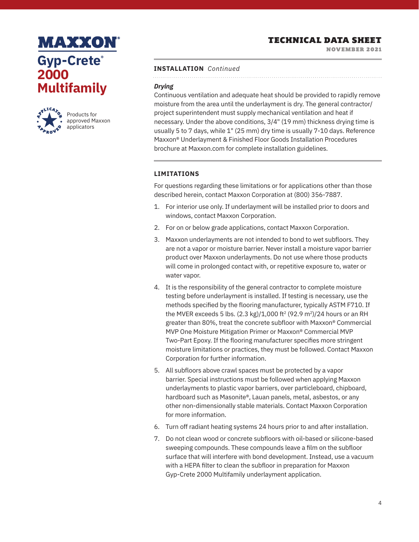## **MAXXON Gyp-Crete® 2000 Multifamily**



Products for approved Maxxon applicators

## TECHNICAL DATA SHEET

NOVEMBER 2021

#### **INSTALLATION** *Continued*

### *Drying*

Continuous ventilation and adequate heat should be provided to rapidly remove moisture from the area until the underlayment is dry. The general contractor/ project superintendent must supply mechanical ventilation and heat if necessary. Under the above conditions, 3/4" (19 mm) thickness drying time is usually 5 to 7 days, while 1" (25 mm) dry time is usually 7-10 days. Reference Maxxon® Underlayment & Finished Floor Goods Installation Procedures brochure at Maxxon.com for complete installation guidelines.

### **LIMITATIONS**

For questions regarding these limitations or for applications other than those described herein, contact Maxxon Corporation at (800) 356-7887.

- 1. For interior use only. If underlayment will be installed prior to doors and windows, contact Maxxon Corporation.
- 2. For on or below grade applications, contact Maxxon Corporation.
- 3. Maxxon underlayments are not intended to bond to wet subfloors. They are not a vapor or moisture barrier. Never install a moisture vapor barrier product over Maxxon underlayments. Do not use where those products will come in prolonged contact with, or repetitive exposure to, water or water vapor.
- 4. It is the responsibility of the general contractor to complete moisture testing before underlayment is installed. If testing is necessary, use the methods specified by the flooring manufacturer, typically ASTM F710. If the MVER exceeds 5 lbs.  $(2.3 \text{ kg})/1,000 \text{ ft}^2 (92.9 \text{ m}^2)/24$  hours or an RH greater than 80%, treat the concrete subfloor with Maxxon® Commercial MVP One Moisture Mitigation Primer or Maxxon® Commercial MVP Two-Part Epoxy. If the flooring manufacturer specifies more stringent moisture limitations or practices, they must be followed. Contact Maxxon Corporation for further information.
- 5. All subfloors above crawl spaces must be protected by a vapor barrier. Special instructions must be followed when applying Maxxon underlayments to plastic vapor barriers, over particleboard, chipboard, hardboard such as Masonite®, Lauan panels, metal, asbestos, or any other non-dimensionally stable materials. Contact Maxxon Corporation for more information.
- 6. Turn off radiant heating systems 24 hours prior to and after installation.
- 7. Do not clean wood or concrete subfloors with oil-based or silicone-based sweeping compounds. These compounds leave a film on the subfloor surface that will interfere with bond development. Instead, use a vacuum with a HEPA filter to clean the subfloor in preparation for Maxxon Gyp-Crete 2000 Multifamily underlayment application.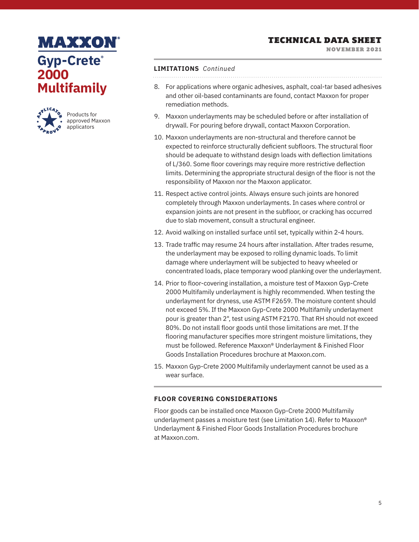NOVEMBER 2021

## **MAXXON Gyp-Crete® 2000 Multifamily**



Products for approved Maxxon applicators

### **LIMITATIONS** *Continued*

- 8. For applications where organic adhesives, asphalt, coal-tar based adhesives and other oil-based contaminants are found, contact Maxxon for proper remediation methods.
- 9. Maxxon underlayments may be scheduled before or after installation of drywall. For pouring before drywall, contact Maxxon Corporation.
- 10. Maxxon underlayments are non-structural and therefore cannot be expected to reinforce structurally deficient subfloors. The structural floor should be adequate to withstand design loads with deflection limitations of L/360. Some floor coverings may require more restrictive deflection limits. Determining the appropriate structural design of the floor is not the responsibility of Maxxon nor the Maxxon applicator.
- 11. Respect active control joints. Always ensure such joints are honored completely through Maxxon underlayments. In cases where control or expansion joints are not present in the subfloor, or cracking has occurred due to slab movement, consult a structural engineer.
- 12. Avoid walking on installed surface until set, typically within 2-4 hours.
- 13. Trade traffic may resume 24 hours after installation. After trades resume, the underlayment may be exposed to rolling dynamic loads. To limit damage where underlayment will be subjected to heavy wheeled or concentrated loads, place temporary wood planking over the underlayment.
- 14. Prior to floor-covering installation, a moisture test of Maxxon Gyp-Crete 2000 Multifamily underlayment is highly recommended. When testing the underlayment for dryness, use ASTM F2659. The moisture content should not exceed 5%. If the Maxxon Gyp-Crete 2000 Multifamily underlayment pour is greater than 2", test using ASTM F2170. That RH should not exceed 80%. Do not install floor goods until those limitations are met. If the flooring manufacturer specifies more stringent moisture limitations, they must be followed. Reference Maxxon® Underlayment & Finished Floor Goods Installation Procedures brochure at Maxxon.com.
- 15. Maxxon Gyp-Crete 2000 Multifamily underlayment cannot be used as a wear surface.

### **FLOOR COVERING CONSIDERATIONS**

Floor goods can be installed once Maxxon Gyp-Crete 2000 Multifamily underlayment passes a moisture test (see Limitation 14). Refer to Maxxon® Underlayment & Finished Floor Goods Installation Procedures brochure at Maxxon.com.